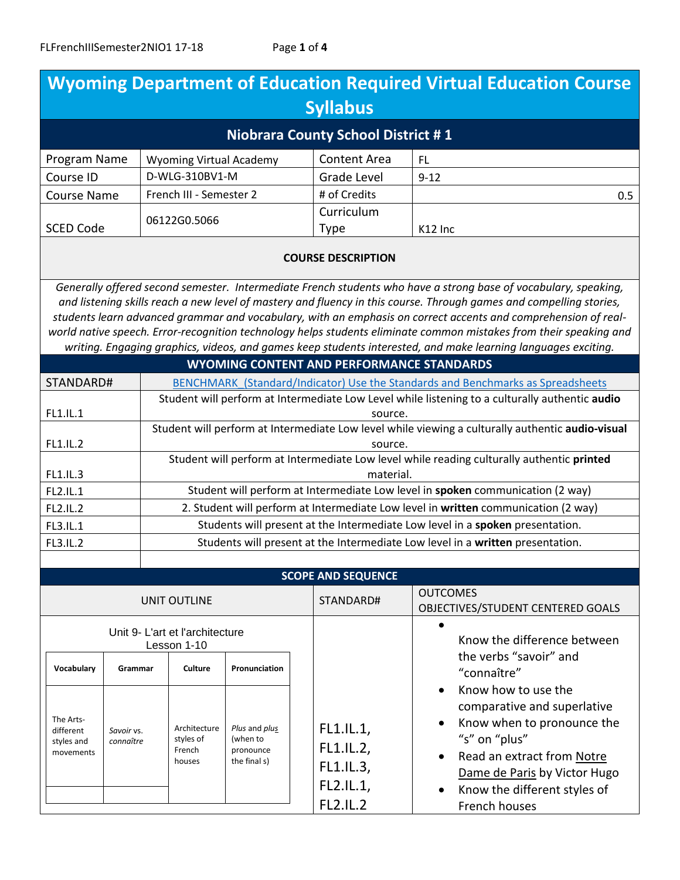| <b>Wyoming Department of Education Required Virtual Education Course</b><br><b>Syllabus</b>                                                                                                                                                                                                                                                                                                                                                                                                                                                                                                     |                         |                                                                                                             |                                                        |                                                                                |                                                                     |                                                                                                                                                                                                                  |  |  |
|-------------------------------------------------------------------------------------------------------------------------------------------------------------------------------------------------------------------------------------------------------------------------------------------------------------------------------------------------------------------------------------------------------------------------------------------------------------------------------------------------------------------------------------------------------------------------------------------------|-------------------------|-------------------------------------------------------------------------------------------------------------|--------------------------------------------------------|--------------------------------------------------------------------------------|---------------------------------------------------------------------|------------------------------------------------------------------------------------------------------------------------------------------------------------------------------------------------------------------|--|--|
| <b>Niobrara County School District #1</b>                                                                                                                                                                                                                                                                                                                                                                                                                                                                                                                                                       |                         |                                                                                                             |                                                        |                                                                                |                                                                     |                                                                                                                                                                                                                  |  |  |
| Program Name                                                                                                                                                                                                                                                                                                                                                                                                                                                                                                                                                                                    |                         | <b>Wyoming Virtual Academy</b>                                                                              |                                                        |                                                                                | <b>Content Area</b>                                                 | FL.                                                                                                                                                                                                              |  |  |
| Course ID                                                                                                                                                                                                                                                                                                                                                                                                                                                                                                                                                                                       |                         | D-WLG-310BV1-M                                                                                              |                                                        |                                                                                | Grade Level                                                         | $9 - 12$                                                                                                                                                                                                         |  |  |
| <b>Course Name</b>                                                                                                                                                                                                                                                                                                                                                                                                                                                                                                                                                                              |                         | French III - Semester 2                                                                                     |                                                        |                                                                                | # of Credits                                                        | 0.5                                                                                                                                                                                                              |  |  |
| <b>SCED Code</b>                                                                                                                                                                                                                                                                                                                                                                                                                                                                                                                                                                                |                         | 06122G0.5066                                                                                                |                                                        |                                                                                | Curriculum<br><b>Type</b>                                           | K12 Inc                                                                                                                                                                                                          |  |  |
| <b>COURSE DESCRIPTION</b>                                                                                                                                                                                                                                                                                                                                                                                                                                                                                                                                                                       |                         |                                                                                                             |                                                        |                                                                                |                                                                     |                                                                                                                                                                                                                  |  |  |
| Generally offered second semester. Intermediate French students who have a strong base of vocabulary, speaking,<br>and listening skills reach a new level of mastery and fluency in this course. Through games and compelling stories,<br>students learn advanced grammar and vocabulary, with an emphasis on correct accents and comprehension of real-<br>world native speech. Error-recognition technology helps students eliminate common mistakes from their speaking and<br>writing. Engaging graphics, videos, and games keep students interested, and make learning languages exciting. |                         |                                                                                                             |                                                        |                                                                                |                                                                     |                                                                                                                                                                                                                  |  |  |
|                                                                                                                                                                                                                                                                                                                                                                                                                                                                                                                                                                                                 |                         |                                                                                                             |                                                        |                                                                                | <b>WYOMING CONTENT AND PERFORMANCE STANDARDS</b>                    |                                                                                                                                                                                                                  |  |  |
| STANDARD#                                                                                                                                                                                                                                                                                                                                                                                                                                                                                                                                                                                       |                         | <b>BENCHMARK (Standard/Indicator) Use the Standards and Benchmarks as Spreadsheets</b>                      |                                                        |                                                                                |                                                                     |                                                                                                                                                                                                                  |  |  |
| FL1.IL.1                                                                                                                                                                                                                                                                                                                                                                                                                                                                                                                                                                                        |                         | Student will perform at Intermediate Low Level while listening to a culturally authentic audio<br>source.   |                                                        |                                                                                |                                                                     |                                                                                                                                                                                                                  |  |  |
| FL1.IL.2                                                                                                                                                                                                                                                                                                                                                                                                                                                                                                                                                                                        |                         | Student will perform at Intermediate Low level while viewing a culturally authentic audio-visual<br>source. |                                                        |                                                                                |                                                                     |                                                                                                                                                                                                                  |  |  |
| FL1.IL.3                                                                                                                                                                                                                                                                                                                                                                                                                                                                                                                                                                                        |                         | Student will perform at Intermediate Low level while reading culturally authentic printed<br>material.      |                                                        |                                                                                |                                                                     |                                                                                                                                                                                                                  |  |  |
| FL2.IL.1                                                                                                                                                                                                                                                                                                                                                                                                                                                                                                                                                                                        |                         | Student will perform at Intermediate Low level in spoken communication (2 way)                              |                                                        |                                                                                |                                                                     |                                                                                                                                                                                                                  |  |  |
| FL2.IL.2                                                                                                                                                                                                                                                                                                                                                                                                                                                                                                                                                                                        |                         | 2. Student will perform at Intermediate Low level in written communication (2 way)                          |                                                        |                                                                                |                                                                     |                                                                                                                                                                                                                  |  |  |
| FL3.IL.1                                                                                                                                                                                                                                                                                                                                                                                                                                                                                                                                                                                        |                         | Students will present at the Intermediate Low level in a spoken presentation.                               |                                                        |                                                                                |                                                                     |                                                                                                                                                                                                                  |  |  |
| <b>FL3.IL.2</b>                                                                                                                                                                                                                                                                                                                                                                                                                                                                                                                                                                                 |                         |                                                                                                             |                                                        | Students will present at the Intermediate Low level in a written presentation. |                                                                     |                                                                                                                                                                                                                  |  |  |
|                                                                                                                                                                                                                                                                                                                                                                                                                                                                                                                                                                                                 |                         |                                                                                                             |                                                        |                                                                                |                                                                     |                                                                                                                                                                                                                  |  |  |
| <b>SCOPE AND SEQUENCE</b>                                                                                                                                                                                                                                                                                                                                                                                                                                                                                                                                                                       |                         |                                                                                                             |                                                        |                                                                                |                                                                     |                                                                                                                                                                                                                  |  |  |
| <b>UNIT OUTLINE</b>                                                                                                                                                                                                                                                                                                                                                                                                                                                                                                                                                                             |                         |                                                                                                             |                                                        |                                                                                | STANDARD#                                                           | <b>OUTCOMES</b><br>OBJECTIVES/STUDENT CENTERED GOALS                                                                                                                                                             |  |  |
| Unit 9- L'art et l'architecture<br>Lesson 1-10                                                                                                                                                                                                                                                                                                                                                                                                                                                                                                                                                  |                         |                                                                                                             |                                                        |                                                                                |                                                                     | Know the difference between                                                                                                                                                                                      |  |  |
| Vocabulary                                                                                                                                                                                                                                                                                                                                                                                                                                                                                                                                                                                      | Grammar                 | <b>Culture</b>                                                                                              | Pronunciation                                          |                                                                                |                                                                     | the verbs "savoir" and<br>"connaître"                                                                                                                                                                            |  |  |
| The Arts-<br>different<br>styles and<br>movements                                                                                                                                                                                                                                                                                                                                                                                                                                                                                                                                               | Savoir vs.<br>connaître | Architecture<br>styles of<br>French<br>houses                                                               | Plus and plus<br>(when to<br>pronounce<br>the final s) |                                                                                | FL1.IL.1,<br>FL1.IL.2,<br>FL1.IL.3,<br>FL2.IL.1,<br><b>FL2.IL.2</b> | Know how to use the<br>comparative and superlative<br>Know when to pronounce the<br>"s" on "plus"<br>Read an extract from Notre<br>Dame de Paris by Victor Hugo<br>Know the different styles of<br>French houses |  |  |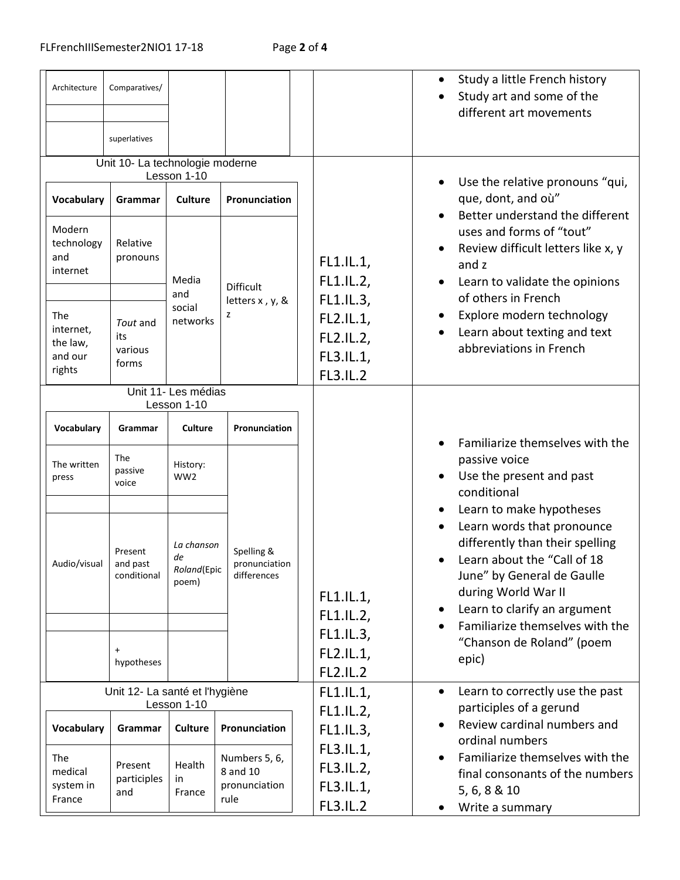| Architecture                                          | Comparatives/<br>superlatives                                      |                                               |                                                    |                                                        | Study a little French history<br>$\bullet$<br>Study art and some of the<br>different art movements                                                                                                                                               |
|-------------------------------------------------------|--------------------------------------------------------------------|-----------------------------------------------|----------------------------------------------------|--------------------------------------------------------|--------------------------------------------------------------------------------------------------------------------------------------------------------------------------------------------------------------------------------------------------|
| Vocabulary<br>Modern<br>technology<br>and<br>internet | Unit 10- La technologie moderne<br>Grammar<br>Relative<br>pronouns | Lesson 1-10<br><b>Culture</b><br>Media<br>and | Pronunciation<br>Difficult                         | FL1.IL.1,<br>FL1.IL.2,<br>FL1.IL.3,                    | Use the relative pronouns "qui,<br>que, dont, and où"<br>Better understand the different<br>uses and forms of "tout"<br>Review difficult letters like x, y<br>and z<br>Learn to validate the opinions<br>of others in French                     |
| The<br>internet,<br>the law,<br>and our<br>rights     | Tout and<br>its<br>various<br>forms                                | social<br>networks                            | letters x, y, &<br>z                               | FL2.IL.1,<br>FL2.IL.2,<br>FL3.IL.1,<br><b>FL3.IL.2</b> | Explore modern technology<br>Learn about texting and text<br>abbreviations in French                                                                                                                                                             |
|                                                       |                                                                    | Unit 11- Les médias<br>Lesson 1-10            |                                                    |                                                        |                                                                                                                                                                                                                                                  |
| Vocabulary                                            | Grammar                                                            | <b>Culture</b>                                | Pronunciation                                      |                                                        | Familiarize themselves with the                                                                                                                                                                                                                  |
| The written<br>press                                  | The<br>passive<br>voice                                            | History:<br>WW <sub>2</sub>                   |                                                    |                                                        | passive voice<br>Use the present and past<br>$\bullet$<br>conditional                                                                                                                                                                            |
| Audio/visual I                                        | Present<br>and past<br>conditional                                 | La chanson<br>de<br>Roland(Epic<br>poem)      | Spelling &<br>pronunciation<br>differences         | FL1.IL.1,<br>FL1.IL.2,                                 | Learn to make hypotheses<br>Learn words that pronounce<br>differently than their spelling<br>Learn about the "Call of 18<br>June" by General de Gaulle<br>during World War II<br>Learn to clarify an argument<br>Familiarize themselves with the |
|                                                       | $\ddot{}$<br>hypotheses                                            |                                               |                                                    | FL1.IL.3,<br>FL2.IL.1,<br><b>FL2.IL.2</b>              | "Chanson de Roland" (poem<br>epic)                                                                                                                                                                                                               |
|                                                       | Unit 12- La santé et l'hygiène                                     | Lesson 1-10                                   |                                                    | FL1.IL.1,                                              | Learn to correctly use the past<br>$\bullet$<br>participles of a gerund                                                                                                                                                                          |
| Vocabulary                                            | Grammar                                                            | <b>Culture</b><br>Pronunciation               |                                                    | FL1.IL.2,<br>FL1.IL.3,                                 | Review cardinal numbers and<br>$\bullet$<br>ordinal numbers                                                                                                                                                                                      |
| <b>The</b><br>medical<br>system in<br>France          | Present<br>participles<br>and                                      | Health<br>in<br>France                        | Numbers 5, 6,<br>8 and 10<br>pronunciation<br>rule | FL3.IL.1,<br>FL3.IL.2,<br>FL3.IL.1,<br><b>FL3.IL.2</b> | Familiarize themselves with the<br>$\bullet$<br>final consonants of the numbers<br>5, 6, 8 & 10<br>Write a summary                                                                                                                               |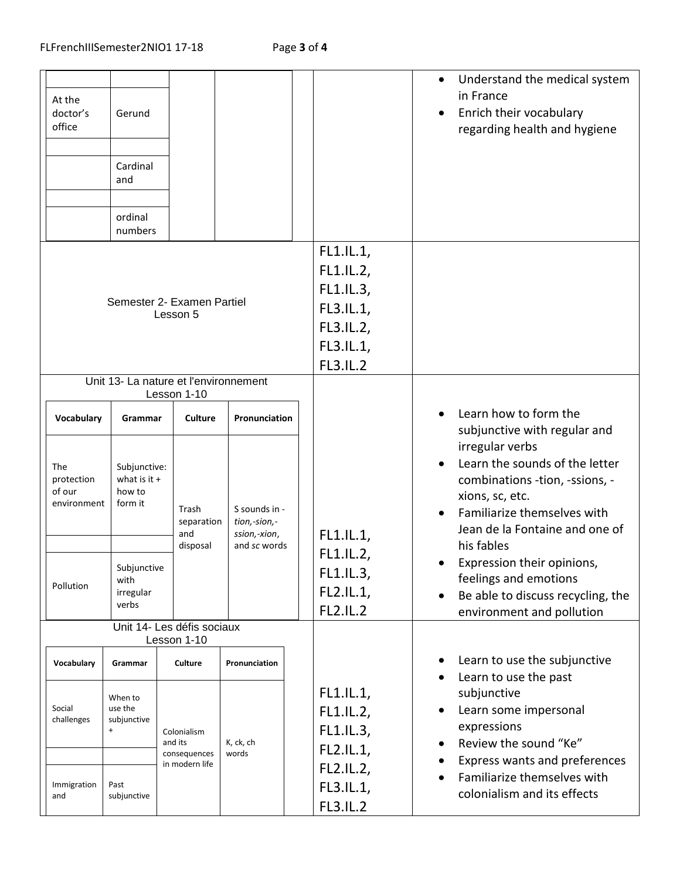| At the<br>doctor's<br>office               | Gerund<br>Cardinal<br>and<br>ordinal<br>numbers     |                                                                        |                                               |                                                                                               | Understand the medical system<br>$\bullet$<br>in France<br>Enrich their vocabulary<br>regarding health and hygiene                                                                                      |
|--------------------------------------------|-----------------------------------------------------|------------------------------------------------------------------------|-----------------------------------------------|-----------------------------------------------------------------------------------------------|---------------------------------------------------------------------------------------------------------------------------------------------------------------------------------------------------------|
|                                            |                                                     | Semester 2- Examen Partiel<br>Lesson 5                                 |                                               | FL1.IL.1,<br>FL1.IL.2,<br>FL1.IL.3,<br>FL3.IL.1,<br>FL3.IL.2,<br>FL3.IL.1,<br><b>FL3.IL.2</b> |                                                                                                                                                                                                         |
| Vocabulary                                 | Grammar                                             | Unit 13- La nature et l'environnement<br>Lesson 1-10<br><b>Culture</b> | Pronunciation                                 |                                                                                               | Learn how to form the                                                                                                                                                                                   |
| The<br>protection<br>of our<br>environment | Subjunctive:<br>what is it $+$<br>how to<br>form it | Trash<br>separation<br>and                                             | S sounds in -<br>tion,-sion,-<br>ssion,-xion, | FL1.IL.1,                                                                                     | subjunctive with regular and<br>irregular verbs<br>Learn the sounds of the letter<br>combinations -tion, -ssions, -<br>xions, sc, etc.<br>Familiarize themselves with<br>Jean de la Fontaine and one of |
| Pollution                                  | Subjunctive<br>with<br>irregular<br>verbs           | disposal                                                               | and sc words                                  | FL1.IL.2,<br>FL1.IL.3,<br>FL2.IL.1,<br><b>FL2.IL.2</b>                                        | his fables<br>Expression their opinions,<br>feelings and emotions<br>Be able to discuss recycling, the<br>environment and pollution                                                                     |
|                                            |                                                     | Unit 14- Les défis sociaux<br>Lesson 1-10                              |                                               |                                                                                               |                                                                                                                                                                                                         |
| Vocabulary                                 | Grammar                                             | Culture                                                                | Pronunciation                                 |                                                                                               | Learn to use the subjunctive<br>Learn to use the past                                                                                                                                                   |
| Social<br>challenges                       | When to<br>use the<br>subjunctive<br>$+$            | Colonialism<br>and its                                                 | K, ck, ch                                     | FL1.IL.1<br>FL1.IL.2,<br>FL1.IL.3,                                                            | subjunctive<br>Learn some impersonal<br>expressions<br>Review the sound "Ke"<br>Express wants and preferences<br>Familiarize themselves with<br>colonialism and its effects                             |
| Immigration<br>and                         | Past<br>subjunctive                                 | consequences<br>in modern life                                         | words                                         | FL2.IL.1,<br>FL2.IL.2,<br>FL3.IL.1,<br><b>FL3.IL.2</b>                                        |                                                                                                                                                                                                         |